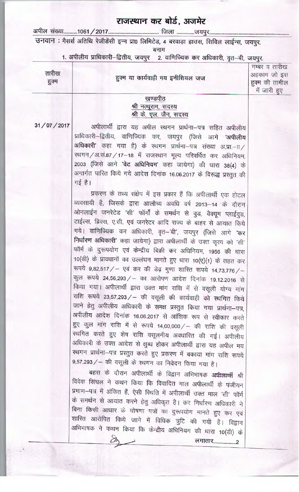## राजस्थान कर बोर्ड, अजमेर

उनवान : मैसर्स अतिथि रेजीडेंसी इन्न प्रा0 लिमिटेड, 4 बरवाड़ा हाउस, सिविल लाईन्स, जयपुर.

बनाम

1. अपीलीय प्राधिकारी-द्वितीय, जयपुर 2. वाणिज्यिक कर अधिकारी, वृत-बी, जयपुर.

| तारीख<br>हुक्म | हुक्म या कार्यवाही मय इनीशियल जज                           | नम्बर व तारीख<br>अहकाम जो इस<br>हुक्म की तामील<br>में जारी हुए |
|----------------|------------------------------------------------------------|----------------------------------------------------------------|
|                | खण्डपीठ<br>श्री नत्थूराम, सदस्य<br>श्री के. एल. जैन, सदस्य |                                                                |

31/07/2017

अपीलार्थी द्वारा यह अपील स्थगन प्रार्थना-पत्र सहित अपीलीय प्राधिकारी-द्वितीय, वाणिज्यिक कर, जयपुर (जिसे आगे 'अपीलीय अधिकारी' कहा गया है) के स्थगन प्रार्थना-पत्र संख्या अ.प्रा.--ाा रथगन/अ.सं.87/17-18 में राजस्थान मूल्य परिवर्धित कर अधिनियम, 2003 (जिसे आगे 'वेट अधिनियम' कहा जायेगा) की धारा 38(4) के अन्तर्गत पारित किये गये आदेश दिनांक 16.06.2017 के विरूद्ध प्रस्तुत की गई है।

प्रकरण के तथ्य संक्षेप में इस प्रकार हैं कि अपीलार्थी एक होटल व्यवसायी है, जिसके द्वारा आलौच्य अवधि वर्ष 2013–14 के दौरान ओनलाईन जनरेटेड 'सी' फॉर्मों के समर्थन से वुड, वैक्यूम प्लाईवुड, टाईल्स, ब्रिक्स, ए.सी. एवं जनरेटर आदि राज्य के बाहर से आयात किये गये। वाणिज्यिक कर अधिकारी, वृत-'बी', जयपुर (जिसे आगे 'कर निर्धारण अधिकारी' कहा जायेगा) द्वारा अपीलार्थी के उक्त कृत्य को 'सी' फॉर्म के दुरूपयोग एवं केन्द्रीय बिक्री कर अधिनियम, 1956 की धारा 10(डी) के प्रावधानों का उल्लंघन मानते हुए धारा 10(ए)(1) के तहत कर रूपये 9,82,517 / - एवं कर की डेढ़ गुणा शारित रूपये 14,73,776 / -कुल रूपये 24,56,293 / – का आरोपण आदेश दिनांक 19.12.2016 से किया गया। अपीलार्थी द्वारा उक्त मांग राशि में से वसूली योग्य मांग राशि रूपये 23,57,293 / - की वसूली की कार्यवाही को स्थगित किये जाने हेतु अपीलीय अधिकारी के समक्ष प्रस्तुत किया गया प्रार्थना-पत्र, अपीलीय आदेश दिनांक 16.06.2017 से आंशिक रूप से स्वीकार करते हुए कुल मांग राशि में से रूपये 14,00,000/ – की राशि की वसूली स्थगित करते हुए शेष राशि वसूलनीय अवधारित की गई। अपीलीय अधिकारी के उक्त आदेश से क्षुब्ध होकर अपीलार्थी द्वारा यह अपील मय स्थगन प्रार्थना-पत्र प्रस्तुत करते हुए प्रकरण में बकाया मांग राशि रूपये 9,57,293 / - की वसूली के स्थगन का निवेदन किया गया है।

बहस के दौरान अपीलार्थी के विद्वान अभिभाषक अ<del>पीलार्थी</del> श्री विवेक सिंघल ने कथन किया कि विवादित माल अपीलार्थी के पंजीयन प्रमाण-पत्र में अंकित हैं, ऐसी स्थिति में अपीलार्थी उक्त माल 'सी' फॉर्म के समर्थन से आयात करने हेतु अधिकृत है। कर निर्धारण अधिकारी ने बिना किसी आधार के घोषणा पत्रों का दुरूपयोग मानते हुए कर एवं शास्ति आरोपित किये जाने में विधिक त्रुटि की गयी है। विद्वान अभिभाषक ने कथन किया कि केन्द्रीय अधिनियम की धारा 10(डी) के